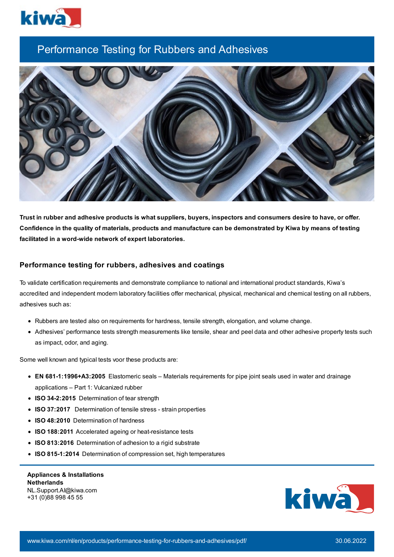

## Performance Testing for Rubbers and Adhesives



Trust in rubber and adhesive products is what suppliers, buyers, inspectors and consumers desire to have, or offer. Confidence in the quality of materials, products and manufacture can be demonstrated by Kiwa by means of testing **facilitated in a word-wide network of expert laboratories.**

## **Performance testing for rubbers, adhesives and coatings**

To validate certification requirements and demonstrate compliance to national and international product standards, Kiwa's accredited and independent modern laboratory facilities offer mechanical, physical, mechanical and chemical testing on all rubbers, adhesives such as:

- Rubbers are tested also on requirements for hardness, tensile strength, elongation, and volume change.
- Adhesives' performance tests strength measurements like tensile, shear and peel data and other adhesive property tests such as impact, odor, and aging.

Some well known and typical tests voor these products are:

- **EN 681-1:1996+A3:2005** Elastomeric seals Materials requirements for pipe joint seals used in water and drainage applications – Part 1: Vulcanized rubber
- **ISO 34-2:2015** Determination of tear strength
- **ISO 37:2017** Determination of tensile stress strain properties
- **ISO 48:2010** Determination of hardness
- **ISO 188:2011** Accelerated ageing or heat-resistance tests
- **ISO 813:2016** Determination of adhesion to a rigid substrate
- **ISO 815-1:2014** Determination of compression set, high temperatures

**Appliances & Installations Netherlands** NL.Support.AI@kiwa.com +31 (0)88 998 45 55